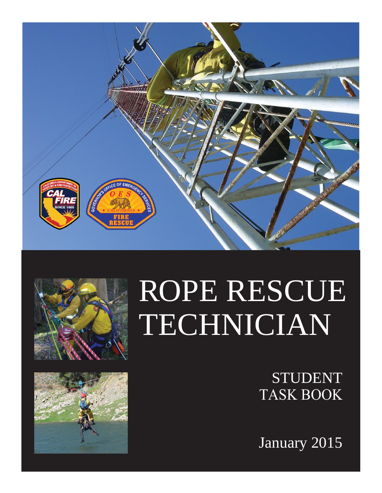





# ROPE RESCUE TECHNICIAN

STUDENT TASK BOOK

January 2015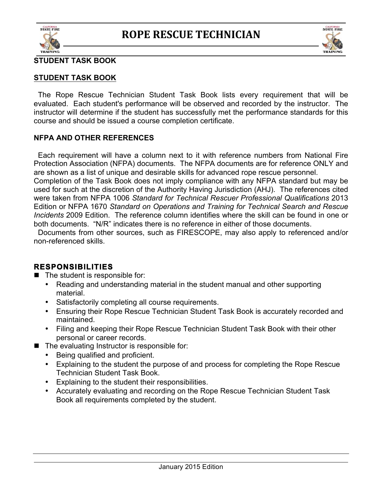



#### **STUDENT TASK BOOK**

 The Rope Rescue Technician Student Task Book lists every requirement that will be evaluated. Each student's performance will be observed and recorded by the instructor. The instructor will determine if the student has successfully met the performance standards for this course and should be issued a course completion certificate.

#### **NFPA AND OTHER REFERENCES**

 Each requirement will have a column next to it with reference numbers from National Fire Protection Association (NFPA) documents.The NFPA documents are for reference ONLY and are shown as a list of unique and desirable skills for advanced rope rescue personnel. Completion of the Task Book does not imply compliance with any NFPA standard but may be used for such at the discretion of the Authority Having Jurisdiction (AHJ). The references cited were taken from NFPA 1006 *Standard for Technical Rescuer Professional Qualifications* 2013 Edition or NFPA 1670 *Standard on Operations and Training for Technical Search and Rescue Incidents* 2009 Edition. The reference column identifies where the skill can be found in one or both documents. "N/R" indicates there is no reference in either of those documents.

 Documents from other sources, such as FIRESCOPE, may also apply to referenced and/or non-referenced skills.

#### **RESPONSIBILITIES**

 $\blacksquare$  The student is responsible for:

- Reading and understanding material in the student manual and other supporting material.
- Satisfactorily completing all course requirements.
- Ensuring their Rope Rescue Technician Student Task Book is accurately recorded and maintained.
- Filing and keeping their Rope Rescue Technician Student Task Book with their other personal or career records.
- $\blacksquare$  The evaluating Instructor is responsible for:
	- Being qualified and proficient.
	- Explaining to the student the purpose of and process for completing the Rope Rescue Technician Student Task Book.
	- Explaining to the student their responsibilities.
	- Accurately evaluating and recording on the Rope Rescue Technician Student Task Book all requirements completed by the student.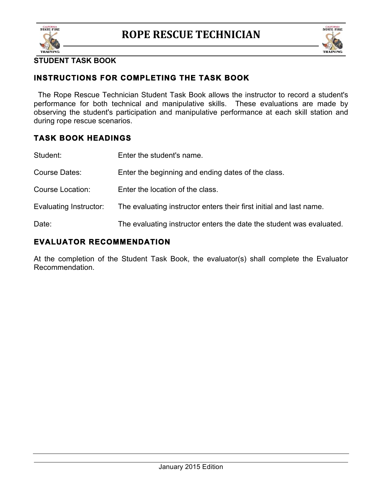



## **INSTRUCTIONS FOR COMPLETING THE TASK BOOK**

 The Rope Rescue Technician Student Task Book allows the instructor to record a student's performance for both technical and manipulative skills. These evaluations are made by observing the student's participation and manipulative performance at each skill station and during rope rescue scenarios.

## **TASK BOOK HEADINGS**

| Student:               | Enter the student's name.                                            |
|------------------------|----------------------------------------------------------------------|
| Course Dates:          | Enter the beginning and ending dates of the class.                   |
| Course Location:       | Enter the location of the class.                                     |
| Evaluating Instructor: | The evaluating instructor enters their first initial and last name.  |
| Date:                  | The evaluating instructor enters the date the student was evaluated. |

### **EVALUATOR RECOMMENDATION**

At the completion of the Student Task Book, the evaluator(s) shall complete the Evaluator Recommendation.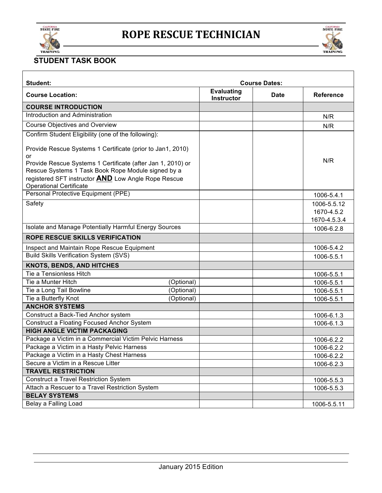



| Student:                                                                                                                                                                                                                                                                       |            |                                        | <b>Course Dates:</b> |                                           |
|--------------------------------------------------------------------------------------------------------------------------------------------------------------------------------------------------------------------------------------------------------------------------------|------------|----------------------------------------|----------------------|-------------------------------------------|
| <b>Course Location:</b>                                                                                                                                                                                                                                                        |            | <b>Evaluating</b><br><b>Instructor</b> | <b>Date</b>          | <b>Reference</b>                          |
| <b>COURSE INTRODUCTION</b>                                                                                                                                                                                                                                                     |            |                                        |                      |                                           |
| Introduction and Administration                                                                                                                                                                                                                                                |            |                                        |                      | N/R                                       |
| <b>Course Objectives and Overview</b>                                                                                                                                                                                                                                          |            |                                        |                      | N/R                                       |
| Confirm Student Eligibility (one of the following):                                                                                                                                                                                                                            |            |                                        |                      |                                           |
| Provide Rescue Systems 1 Certificate (prior to Jan1, 2010)<br>or<br>Provide Rescue Systems 1 Certificate (after Jan 1, 2010) or<br>Rescue Systems 1 Task Book Rope Module signed by a<br>registered SFT instructor AND Low Angle Rope Rescue<br><b>Operational Certificate</b> |            |                                        |                      | N/R                                       |
| Personal Protective Equipment (PPE)                                                                                                                                                                                                                                            |            |                                        |                      | 1006-5.4.1                                |
| Safety                                                                                                                                                                                                                                                                         |            |                                        |                      | 1006-5.5.12<br>1670-4.5.2<br>1670-4.5.3.4 |
| Isolate and Manage Potentially Harmful Energy Sources                                                                                                                                                                                                                          |            |                                        |                      | 1006-6.2.8                                |
| <b>ROPE RESCUE SKILLS VERIFICATION</b>                                                                                                                                                                                                                                         |            |                                        |                      |                                           |
| Inspect and Maintain Rope Rescue Equipment                                                                                                                                                                                                                                     |            |                                        |                      | 1006-5.4.2                                |
| <b>Build Skills Verification System (SVS)</b>                                                                                                                                                                                                                                  |            |                                        |                      | 1006-5.5.1                                |
| <b>KNOTS, BENDS, AND HITCHES</b>                                                                                                                                                                                                                                               |            |                                        |                      |                                           |
| Tie a Tensionless Hitch                                                                                                                                                                                                                                                        |            |                                        |                      | 1006-5.5.1                                |
| Tie a Munter Hitch                                                                                                                                                                                                                                                             | (Optional) |                                        |                      | 1006-5.5.1                                |
| Tie a Long Tail Bowline                                                                                                                                                                                                                                                        | (Optional) |                                        |                      | 1006-5.5.1                                |
| Tie a Butterfly Knot                                                                                                                                                                                                                                                           | (Optional) |                                        |                      | 1006-5.5.1                                |
| <b>ANCHOR SYSTEMS</b>                                                                                                                                                                                                                                                          |            |                                        |                      |                                           |
| Construct a Back-Tied Anchor system                                                                                                                                                                                                                                            |            |                                        |                      | 1006-6.1.3                                |
| <b>Construct a Floating Focused Anchor System</b>                                                                                                                                                                                                                              |            |                                        |                      | 1006-6.1.3                                |
| <b>HIGH ANGLE VICTIM PACKAGING</b>                                                                                                                                                                                                                                             |            |                                        |                      |                                           |
| Package a Victim in a Commercial Victim Pelvic Harness                                                                                                                                                                                                                         |            |                                        |                      | 1006-6.2.2                                |
| Package a Victim in a Hasty Pelvic Harness                                                                                                                                                                                                                                     |            |                                        |                      | 1006-6.2.2                                |
| Package a Victim in a Hasty Chest Harness                                                                                                                                                                                                                                      |            |                                        |                      | 1006-6.2.2                                |
| Secure a Victim in a Rescue Litter                                                                                                                                                                                                                                             |            |                                        |                      | 1006-6.2.3                                |
| <b>TRAVEL RESTRICTION</b>                                                                                                                                                                                                                                                      |            |                                        |                      |                                           |
| <b>Construct a Travel Restriction System</b>                                                                                                                                                                                                                                   |            |                                        |                      | 1006-5.5.3                                |
| Attach a Rescuer to a Travel Restriction System                                                                                                                                                                                                                                |            |                                        |                      | 1006-5.5.3                                |
| <b>BELAY SYSTEMS</b>                                                                                                                                                                                                                                                           |            |                                        |                      |                                           |
| Belay a Falling Load                                                                                                                                                                                                                                                           |            |                                        |                      | 1006-5.5.11                               |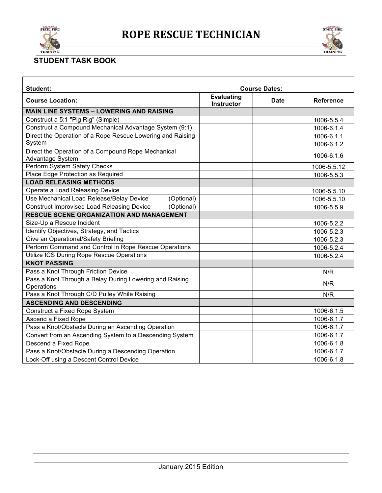



| <b>Student:</b>                                                        |                                        | <b>Course Dates:</b> |                          |
|------------------------------------------------------------------------|----------------------------------------|----------------------|--------------------------|
| <b>Course Location:</b>                                                | <b>Evaluating</b><br><b>Instructor</b> | <b>Date</b>          | <b>Reference</b>         |
| <b>MAIN LINE SYSTEMS - LOWERING AND RAISING</b>                        |                                        |                      |                          |
| Construct a 5:1 "Pig Rig" (Simple)                                     |                                        |                      | 1006-5.5.4               |
| Construct a Compound Mechanical Advantage System (9:1)                 |                                        |                      | 1006-6.1.4               |
| Direct the Operation of a Rope Rescue Lowering and Raising<br>System   |                                        |                      | 1006-6.1.1<br>1006-6.1.2 |
| Direct the Operation of a Compound Rope Mechanical<br>Advantage System |                                        |                      | 1006-6.1.6               |
| Perform System Safety Checks                                           |                                        |                      | 1006-5.5.12              |
| Place Edge Protection as Required                                      |                                        |                      | 1006-5.5.3               |
| <b>LOAD RELEASING METHODS</b>                                          |                                        |                      |                          |
| Operate a Load Releasing Device                                        |                                        |                      | 1006-5.5.10              |
| Use Mechanical Load Release/Belay Device<br>(Optional)                 |                                        |                      | 1006-5.5.10              |
| <b>Construct Improvised Load Releasing Device</b><br>(Optional)        |                                        |                      | 1006-5.5.9               |
| <b>RESCUE SCENE ORGANIZATION AND MANAGEMENT</b>                        |                                        |                      |                          |
| Size-Up a Rescue Incident                                              |                                        |                      | 1006-5.2.2               |
| Identify Objectives, Strategy, and Tactics                             |                                        |                      | 1006-5.2.3               |
| Give an Operational/Safety Briefing                                    |                                        |                      | 1006-5.2.3               |
| Perform Command and Control in Rope Rescue Operations                  |                                        |                      | 1006-5.2.4               |
| Utilize ICS During Rope Rescue Operations                              |                                        |                      | 1006-5.2.4               |
| <b>KNOT PASSING</b>                                                    |                                        |                      |                          |
| Pass a Knot Through Friction Device                                    |                                        |                      | N/R                      |
| Pass a Knot Through a Belay During Lowering and Raising<br>Operations  |                                        |                      | N/R                      |
| Pass a Knot Through C/D Pulley While Raising                           |                                        |                      | N/R                      |
| <b>ASCENDING AND DESCENDING</b>                                        |                                        |                      |                          |
| Construct a Fixed Rope System                                          |                                        |                      | 1006-6.1.5               |
| Ascend a Fixed Rope                                                    |                                        |                      | 1006-6.1.7               |
| Pass a Knot/Obstacle During an Ascending Operation                     |                                        |                      | 1006-6.1.7               |
| Convert from an Ascending System to a Descending System                |                                        |                      | 1006-6.1.7               |
| Descend a Fixed Rope                                                   |                                        |                      | 1006-6.1.8               |
| Pass a Knot/Obstacle During a Descending Operation                     |                                        |                      | 1006-6.1.7               |
| Lock-Off using a Descent Control Device                                |                                        |                      | 1006-6.1.8               |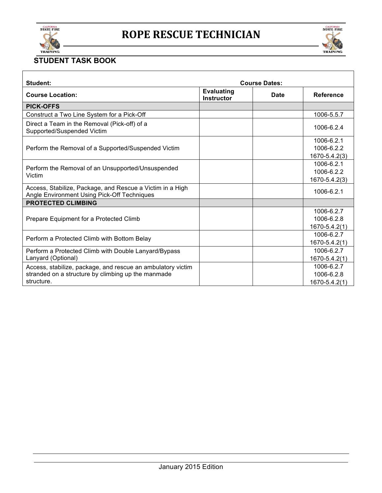



| Student:                                                                                                                        |                                        | <b>Course Dates:</b> |                                           |
|---------------------------------------------------------------------------------------------------------------------------------|----------------------------------------|----------------------|-------------------------------------------|
| <b>Course Location:</b>                                                                                                         | <b>Evaluating</b><br><b>Instructor</b> | <b>Date</b>          | <b>Reference</b>                          |
| <b>PICK-OFFS</b>                                                                                                                |                                        |                      |                                           |
| Construct a Two Line System for a Pick-Off                                                                                      |                                        |                      | 1006-5.5.7                                |
| Direct a Team in the Removal (Pick-off) of a<br>Supported/Suspended Victim                                                      |                                        |                      | 1006-6.2.4                                |
| Perform the Removal of a Supported/Suspended Victim                                                                             |                                        |                      | 1006-6.2.1<br>1006-6.2.2<br>1670-5.4.2(3) |
| Perform the Removal of an Unsupported/Unsuspended<br>Victim                                                                     |                                        |                      | 1006-6.2.1<br>1006-6.2.2<br>1670-5.4.2(3) |
| Access, Stabilize, Package, and Rescue a Victim in a High<br>Angle Environment Using Pick-Off Techniques                        |                                        |                      | 1006-6.2.1                                |
| <b>PROTECTED CLIMBING</b>                                                                                                       |                                        |                      |                                           |
| Prepare Equipment for a Protected Climb                                                                                         |                                        |                      | 1006-6.2.7<br>1006-6.2.8<br>1670-5.4.2(1) |
| Perform a Protected Climb with Bottom Belay                                                                                     |                                        |                      | 1006-6.2.7<br>$1670 - 5.4.2(1)$           |
| Perform a Protected Climb with Double Lanyard/Bypass<br>Lanyard (Optional)                                                      |                                        |                      | 1006-6.2.7<br>1670-5.4.2(1)               |
| Access, stabilize, package, and rescue an ambulatory victim<br>stranded on a structure by climbing up the manmade<br>structure. |                                        |                      | 1006-6.2.7<br>1006-6.2.8<br>1670-5.4.2(1) |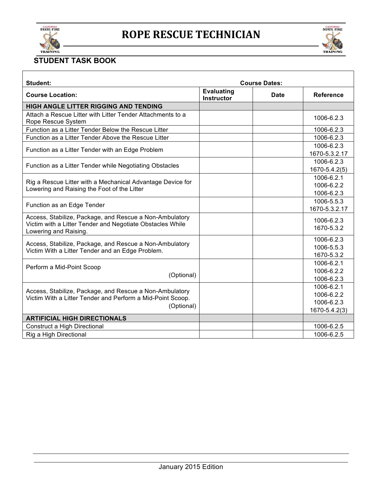



| Student:                                                                                                                                      |                                        | <b>Course Dates:</b> |                                                         |
|-----------------------------------------------------------------------------------------------------------------------------------------------|----------------------------------------|----------------------|---------------------------------------------------------|
| <b>Course Location:</b>                                                                                                                       | <b>Evaluating</b><br><b>Instructor</b> | Date                 | <b>Reference</b>                                        |
| <b>HIGH ANGLE LITTER RIGGING AND TENDING</b>                                                                                                  |                                        |                      |                                                         |
| Attach a Rescue Litter with Litter Tender Attachments to a<br>Rope Rescue System                                                              |                                        |                      | 1006-6.2.3                                              |
| Function as a Litter Tender Below the Rescue Litter                                                                                           |                                        |                      | 1006-6.2.3                                              |
| Function as a Litter Tender Above the Rescue Litter                                                                                           |                                        |                      | 1006-6.2.3                                              |
| Function as a Litter Tender with an Edge Problem                                                                                              |                                        |                      | 1006-6.2.3<br>1670-5.3.2.17                             |
| Function as a Litter Tender while Negotiating Obstacles                                                                                       |                                        |                      | 1006-6.2.3<br>1670-5.4.2(5)                             |
| Rig a Rescue Litter with a Mechanical Advantage Device for<br>Lowering and Raising the Foot of the Litter                                     |                                        |                      | 1006-6.2.1<br>1006-6.2.2<br>1006-6.2.3                  |
| Function as an Edge Tender                                                                                                                    |                                        |                      | 1006-5.5.3<br>1670-5.3.2.17                             |
| Access, Stabilize, Package, and Rescue a Non-Ambulatory<br>Victim with a Litter Tender and Negotiate Obstacles While<br>Lowering and Raising. |                                        |                      | 1006-6.2.3<br>1670-5.3.2                                |
| Access, Stabilize, Package, and Rescue a Non-Ambulatory<br>Victim With a Litter Tender and an Edge Problem.                                   |                                        |                      | 1006-6.2.3<br>1006-5.5.3<br>1670-5.3.2                  |
| Perform a Mid-Point Scoop<br>(Optional)                                                                                                       |                                        |                      | 1006-6.2.1<br>1006-6.2.2<br>1006-6.2.3                  |
| Access, Stabilize, Package, and Rescue a Non-Ambulatory<br>Victim With a Litter Tender and Perform a Mid-Point Scoop.<br>(Optional)           |                                        |                      | 1006-6.2.1<br>1006-6.2.2<br>1006-6.2.3<br>1670-5.4.2(3) |
| <b>ARTIFICIAL HIGH DIRECTIONALS</b>                                                                                                           |                                        |                      |                                                         |
| Construct a High Directional                                                                                                                  |                                        |                      | 1006-6.2.5                                              |
| Rig a High Directional                                                                                                                        |                                        |                      | 1006-6.2.5                                              |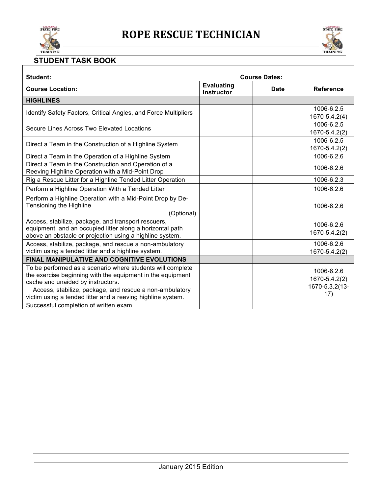

Г



Ξ

| Student:                                                                                                                                                                                                                 |                                        | <b>Course Dates:</b> |                                               |
|--------------------------------------------------------------------------------------------------------------------------------------------------------------------------------------------------------------------------|----------------------------------------|----------------------|-----------------------------------------------|
| <b>Course Location:</b>                                                                                                                                                                                                  | <b>Evaluating</b><br><b>Instructor</b> | <b>Date</b>          | <b>Reference</b>                              |
| <b>HIGHLINES</b>                                                                                                                                                                                                         |                                        |                      |                                               |
| Identify Safety Factors, Critical Angles, and Force Multipliers                                                                                                                                                          |                                        |                      | 1006-6.2.5<br>1670-5.4.2(4)                   |
| Secure Lines Across Two Elevated Locations                                                                                                                                                                               |                                        |                      | 1006-6.2.5<br>1670-5.4.2(2)                   |
| Direct a Team in the Construction of a Highline System                                                                                                                                                                   |                                        |                      | 1006-6.2.5<br>1670-5.4.2(2)                   |
| Direct a Team in the Operation of a Highline System                                                                                                                                                                      |                                        |                      | 1006-6.2.6                                    |
| Direct a Team in the Construction and Operation of a<br>Reeving Highline Operation with a Mid-Point Drop                                                                                                                 |                                        |                      | 1006-6.2.6                                    |
| Rig a Rescue Litter for a Highline Tended Litter Operation                                                                                                                                                               |                                        |                      | 1006-6.2.3                                    |
| Perform a Highline Operation With a Tended Litter                                                                                                                                                                        |                                        |                      | 1006-6.2.6                                    |
| Perform a Highline Operation with a Mid-Point Drop by De-<br>Tensioning the Highline<br>(Optional)                                                                                                                       |                                        |                      | 1006-6.2.6                                    |
| Access, stabilize, package, and transport rescuers,<br>equipment, and an occupied litter along a horizontal path<br>above an obstacle or projection using a highline system.                                             |                                        |                      | 1006-6.2.6<br>1670-5.4.2(2)                   |
| Access, stabilize, package, and rescue a non-ambulatory<br>victim using a tended litter and a highline system.                                                                                                           |                                        |                      | 1006-6.2.6<br>1670-5.4.2(2)                   |
| <b>FINAL MANIPULATIVE AND COGNITIVE EVOLUTIONS</b>                                                                                                                                                                       |                                        |                      |                                               |
| To be performed as a scenario where students will complete<br>the exercise beginning with the equipment in the equipment<br>cache and unaided by instructors.<br>Access, stabilize, package, and rescue a non-ambulatory |                                        |                      | 1006-6.2.6<br>1670-5.4.2(2)<br>1670-5.3.2(13- |
| victim using a tended litter and a reeving highline system.<br>Successful completion of written exam                                                                                                                     |                                        |                      | 17)                                           |